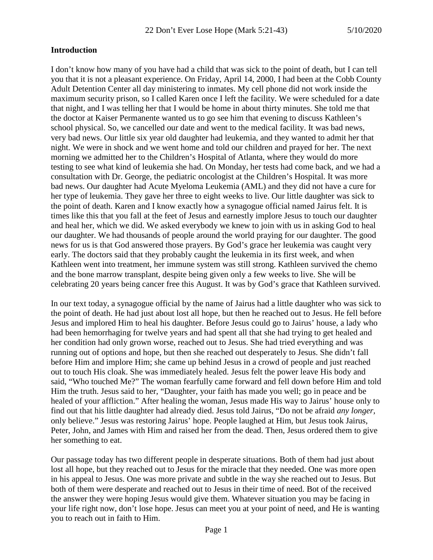### **Introduction**

I don't know how many of you have had a child that was sick to the point of death, but I can tell you that it is not a pleasant experience. On Friday, April 14, 2000, I had been at the Cobb County Adult Detention Center all day ministering to inmates. My cell phone did not work inside the maximum security prison, so I called Karen once I left the facility. We were scheduled for a date that night, and I was telling her that I would be home in about thirty minutes. She told me that the doctor at Kaiser Permanente wanted us to go see him that evening to discuss Kathleen's school physical. So, we cancelled our date and went to the medical facility. It was bad news, very bad news. Our little six year old daughter had leukemia, and they wanted to admit her that night. We were in shock and we went home and told our children and prayed for her. The next morning we admitted her to the Children's Hospital of Atlanta, where they would do more testing to see what kind of leukemia she had. On Monday, her tests had come back, and we had a consultation with Dr. George, the pediatric oncologist at the Children's Hospital. It was more bad news. Our daughter had Acute Myeloma Leukemia (AML) and they did not have a cure for her type of leukemia. They gave her three to eight weeks to live. Our little daughter was sick to the point of death. Karen and I know exactly how a synagogue official named Jairus felt. It is times like this that you fall at the feet of Jesus and earnestly implore Jesus to touch our daughter and heal her, which we did. We asked everybody we knew to join with us in asking God to heal our daughter. We had thousands of people around the world praying for our daughter. The good news for us is that God answered those prayers. By God's grace her leukemia was caught very early. The doctors said that they probably caught the leukemia in its first week, and when Kathleen went into treatment, her immune system was still strong. Kathleen survived the chemo and the bone marrow transplant, despite being given only a few weeks to live. She will be celebrating 20 years being cancer free this August. It was by God's grace that Kathleen survived.

In our text today, a synagogue official by the name of Jairus had a little daughter who was sick to the point of death. He had just about lost all hope, but then he reached out to Jesus. He fell before Jesus and implored Him to heal his daughter. Before Jesus could go to Jairus' house, a lady who had been hemorrhaging for twelve years and had spent all that she had trying to get healed and her condition had only grown worse, reached out to Jesus. She had tried everything and was running out of options and hope, but then she reached out desperately to Jesus. She didn't fall before Him and implore Him; she came up behind Jesus in a crowd of people and just reached out to touch His cloak. She was immediately healed. Jesus felt the power leave His body and said, "Who touched Me?" The woman fearfully came forward and fell down before Him and told Him the truth. Jesus said to her, "Daughter, your faith has made you well; go in peace and be healed of your affliction." After healing the woman, Jesus made His way to Jairus' house only to find out that his little daughter had already died. Jesus told Jairus, "Do not be afraid *any longer,* only believe." Jesus was restoring Jairus' hope. People laughed at Him, but Jesus took Jairus, Peter, John, and James with Him and raised her from the dead. Then, Jesus ordered them to give her something to eat.

Our passage today has two different people in desperate situations. Both of them had just about lost all hope, but they reached out to Jesus for the miracle that they needed. One was more open in his appeal to Jesus. One was more private and subtle in the way she reached out to Jesus. But both of them were desperate and reached out to Jesus in their time of need. Bot of the received the answer they were hoping Jesus would give them. Whatever situation you may be facing in your life right now, don't lose hope. Jesus can meet you at your point of need, and He is wanting you to reach out in faith to Him.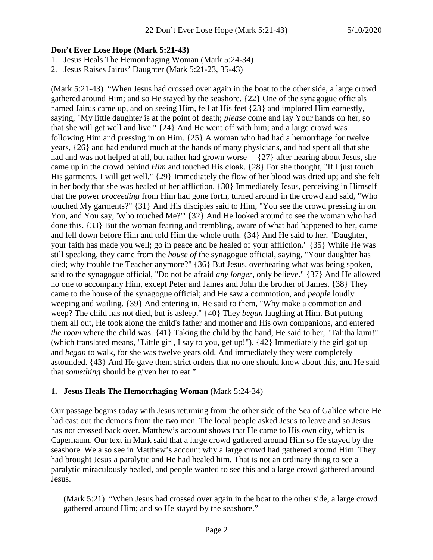## **Don't Ever Lose Hope (Mark 5:21-43)**

- 1. Jesus Heals The Hemorrhaging Woman (Mark 5:24-34)
- 2. Jesus Raises Jairus' Daughter (Mark 5:21-23, 35-43)

(Mark 5:21-43) "When Jesus had crossed over again in the boat to the other side, a large crowd gathered around Him; and so He stayed by the seashore. {22} One of the synagogue officials named Jairus came up, and on seeing Him, fell at His feet {23} and implored Him earnestly, saying, "My little daughter is at the point of death; *please* come and lay Your hands on her, so that she will get well and live." {24} And He went off with him; and a large crowd was following Him and pressing in on Him. {25} A woman who had had a hemorrhage for twelve years, {26} and had endured much at the hands of many physicians, and had spent all that she had and was not helped at all, but rather had grown worse—  $\{27\}$  after hearing about Jesus, she came up in the crowd behind *Him* and touched His cloak. {28} For she thought, "If I just touch His garments, I will get well." {29} Immediately the flow of her blood was dried up; and she felt in her body that she was healed of her affliction. {30} Immediately Jesus, perceiving in Himself that the power *proceeding* from Him had gone forth, turned around in the crowd and said, "Who touched My garments?" {31} And His disciples said to Him, "You see the crowd pressing in on You, and You say, 'Who touched Me?'" {32} And He looked around to see the woman who had done this. {33} But the woman fearing and trembling, aware of what had happened to her, came and fell down before Him and told Him the whole truth. {34} And He said to her, "Daughter, your faith has made you well; go in peace and be healed of your affliction." {35} While He was still speaking, they came from the *house of* the synagogue official, saying, "Your daughter has died; why trouble the Teacher anymore?" {36} But Jesus, overhearing what was being spoken, said to the synagogue official, "Do not be afraid *any longer,* only believe." {37} And He allowed no one to accompany Him, except Peter and James and John the brother of James. {38} They came to the house of the synagogue official; and He saw a commotion, and *people* loudly weeping and wailing. {39} And entering in, He said to them, "Why make a commotion and weep? The child has not died, but is asleep." {40} They *began* laughing at Him. But putting them all out, He took along the child's father and mother and His own companions, and entered *the room* where the child was. {41} Taking the child by the hand, He said to her, "Talitha kum!" (which translated means, "Little girl, I say to you, get up!"). {42} Immediately the girl got up and *began* to walk, for she was twelve years old. And immediately they were completely astounded. {43} And He gave them strict orders that no one should know about this, and He said that *something* should be given her to eat."

# **1. Jesus Heals The Hemorrhaging Woman** (Mark 5:24-34)

Our passage begins today with Jesus returning from the other side of the Sea of Galilee where He had cast out the demons from the two men. The local people asked Jesus to leave and so Jesus has not crossed back over. Matthew's account shows that He came to His own city, which is Capernaum. Our text in Mark said that a large crowd gathered around Him so He stayed by the seashore. We also see in Matthew's account why a large crowd had gathered around Him. They had brought Jesus a paralytic and He had healed him. That is not an ordinary thing to see a paralytic miraculously healed, and people wanted to see this and a large crowd gathered around Jesus.

(Mark 5:21) "When Jesus had crossed over again in the boat to the other side, a large crowd gathered around Him; and so He stayed by the seashore."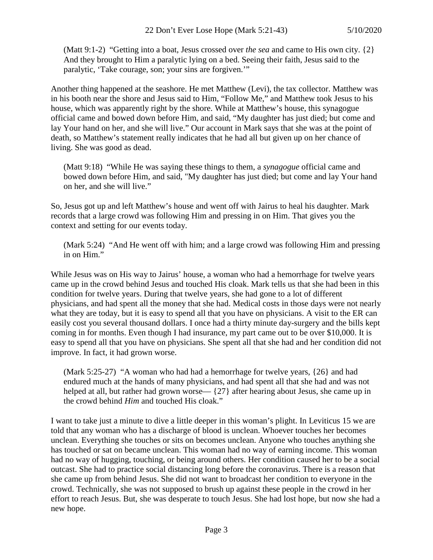(Matt 9:1-2) "Getting into a boat, Jesus crossed over *the sea* and came to His own city. {2} And they brought to Him a paralytic lying on a bed. Seeing their faith, Jesus said to the paralytic, 'Take courage, son; your sins are forgiven.'"

Another thing happened at the seashore. He met Matthew (Levi), the tax collector. Matthew was in his booth near the shore and Jesus said to Him, "Follow Me," and Matthew took Jesus to his house, which was apparently right by the shore. While at Matthew's house, this synagogue official came and bowed down before Him, and said, "My daughter has just died; but come and lay Your hand on her, and she will live." Our account in Mark says that she was at the point of death, so Matthew's statement really indicates that he had all but given up on her chance of living. She was good as dead.

(Matt 9:18) "While He was saying these things to them, a *synagogue* official came and bowed down before Him, and said, "My daughter has just died; but come and lay Your hand on her, and she will live."

So, Jesus got up and left Matthew's house and went off with Jairus to heal his daughter. Mark records that a large crowd was following Him and pressing in on Him. That gives you the context and setting for our events today.

(Mark 5:24) "And He went off with him; and a large crowd was following Him and pressing in on Him."

While Jesus was on His way to Jairus' house, a woman who had a hemorrhage for twelve years came up in the crowd behind Jesus and touched His cloak. Mark tells us that she had been in this condition for twelve years. During that twelve years, she had gone to a lot of different physicians, and had spent all the money that she had. Medical costs in those days were not nearly what they are today, but it is easy to spend all that you have on physicians. A visit to the ER can easily cost you several thousand dollars. I once had a thirty minute day-surgery and the bills kept coming in for months. Even though I had insurance, my part came out to be over \$10,000. It is easy to spend all that you have on physicians. She spent all that she had and her condition did not improve. In fact, it had grown worse.

(Mark 5:25-27) "A woman who had had a hemorrhage for twelve years, {26} and had endured much at the hands of many physicians, and had spent all that she had and was not helped at all, but rather had grown worse—  $\{27\}$  after hearing about Jesus, she came up in the crowd behind *Him* and touched His cloak."

I want to take just a minute to dive a little deeper in this woman's plight. In Leviticus 15 we are told that any woman who has a discharge of blood is unclean. Whoever touches her becomes unclean. Everything she touches or sits on becomes unclean. Anyone who touches anything she has touched or sat on became unclean. This woman had no way of earning income. This woman had no way of hugging, touching, or being around others. Her condition caused her to be a social outcast. She had to practice social distancing long before the coronavirus. There is a reason that she came up from behind Jesus. She did not want to broadcast her condition to everyone in the crowd. Technically, she was not supposed to brush up against these people in the crowd in her effort to reach Jesus. But, she was desperate to touch Jesus. She had lost hope, but now she had a new hope.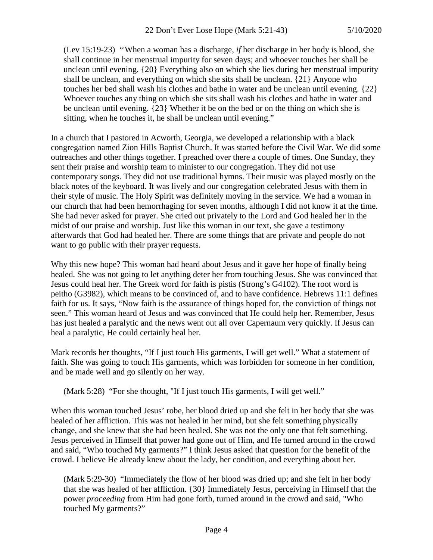(Lev 15:19-23) "'When a woman has a discharge, *if* her discharge in her body is blood, she shall continue in her menstrual impurity for seven days; and whoever touches her shall be unclean until evening. {20} Everything also on which she lies during her menstrual impurity shall be unclean, and everything on which she sits shall be unclean. {21} Anyone who touches her bed shall wash his clothes and bathe in water and be unclean until evening. {22} Whoever touches any thing on which she sits shall wash his clothes and bathe in water and be unclean until evening. {23} Whether it be on the bed or on the thing on which she is sitting, when he touches it, he shall be unclean until evening."

In a church that I pastored in Acworth, Georgia, we developed a relationship with a black congregation named Zion Hills Baptist Church. It was started before the Civil War. We did some outreaches and other things together. I preached over there a couple of times. One Sunday, they sent their praise and worship team to minister to our congregation. They did not use contemporary songs. They did not use traditional hymns. Their music was played mostly on the black notes of the keyboard. It was lively and our congregation celebrated Jesus with them in their style of music. The Holy Spirit was definitely moving in the service. We had a woman in our church that had been hemorrhaging for seven months, although I did not know it at the time. She had never asked for prayer. She cried out privately to the Lord and God healed her in the midst of our praise and worship. Just like this woman in our text, she gave a testimony afterwards that God had healed her. There are some things that are private and people do not want to go public with their prayer requests.

Why this new hope? This woman had heard about Jesus and it gave her hope of finally being healed. She was not going to let anything deter her from touching Jesus. She was convinced that Jesus could heal her. The Greek word for faith is pistis (Strong's G4102). The root word is peitho (G3982), which means to be convinced of, and to have confidence. Hebrews 11:1 defines faith for us. It says, "Now faith is the assurance of things hoped for, the conviction of things not seen." This woman heard of Jesus and was convinced that He could help her. Remember, Jesus has just healed a paralytic and the news went out all over Capernaum very quickly. If Jesus can heal a paralytic, He could certainly heal her.

Mark records her thoughts, "If I just touch His garments, I will get well." What a statement of faith. She was going to touch His garments, which was forbidden for someone in her condition, and be made well and go silently on her way.

(Mark 5:28) "For she thought, "If I just touch His garments, I will get well."

When this woman touched Jesus' robe, her blood dried up and she felt in her body that she was healed of her affliction. This was not healed in her mind, but she felt something physically change, and she knew that she had been healed. She was not the only one that felt something. Jesus perceived in Himself that power had gone out of Him, and He turned around in the crowd and said, "Who touched My garments?" I think Jesus asked that question for the benefit of the crowd. I believe He already knew about the lady, her condition, and everything about her.

(Mark 5:29-30) "Immediately the flow of her blood was dried up; and she felt in her body that she was healed of her affliction. {30} Immediately Jesus, perceiving in Himself that the power *proceeding* from Him had gone forth, turned around in the crowd and said, "Who touched My garments?"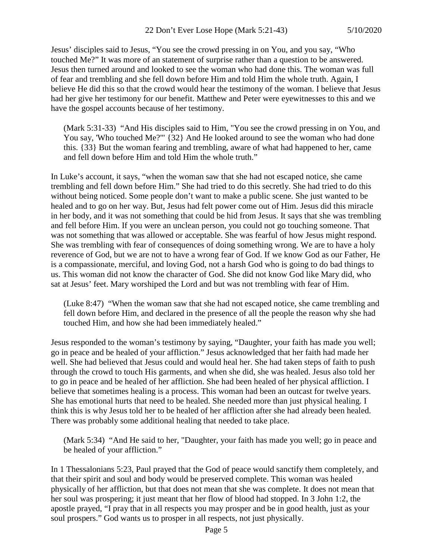Jesus' disciples said to Jesus, "You see the crowd pressing in on You, and you say, "Who touched Me?" It was more of an statement of surprise rather than a question to be answered. Jesus then turned around and looked to see the woman who had done this. The woman was full of fear and trembling and she fell down before Him and told Him the whole truth. Again, I believe He did this so that the crowd would hear the testimony of the woman. I believe that Jesus had her give her testimony for our benefit. Matthew and Peter were eyewitnesses to this and we have the gospel accounts because of her testimony.

(Mark 5:31-33) "And His disciples said to Him, "You see the crowd pressing in on You, and You say, 'Who touched Me?'" {32} And He looked around to see the woman who had done this. {33} But the woman fearing and trembling, aware of what had happened to her, came and fell down before Him and told Him the whole truth."

In Luke's account, it says, "when the woman saw that she had not escaped notice, she came trembling and fell down before Him." She had tried to do this secretly. She had tried to do this without being noticed. Some people don't want to make a public scene. She just wanted to be healed and to go on her way. But, Jesus had felt power come out of Him. Jesus did this miracle in her body, and it was not something that could be hid from Jesus. It says that she was trembling and fell before Him. If you were an unclean person, you could not go touching someone. That was not something that was allowed or acceptable. She was fearful of how Jesus might respond. She was trembling with fear of consequences of doing something wrong. We are to have a holy reverence of God, but we are not to have a wrong fear of God. If we know God as our Father, He is a compassionate, merciful, and loving God, not a harsh God who is going to do bad things to us. This woman did not know the character of God. She did not know God like Mary did, who sat at Jesus' feet. Mary worshiped the Lord and but was not trembling with fear of Him.

(Luke 8:47) "When the woman saw that she had not escaped notice, she came trembling and fell down before Him, and declared in the presence of all the people the reason why she had touched Him, and how she had been immediately healed."

Jesus responded to the woman's testimony by saying, "Daughter, your faith has made you well; go in peace and be healed of your affliction." Jesus acknowledged that her faith had made her well. She had believed that Jesus could and would heal her. She had taken steps of faith to push through the crowd to touch His garments, and when she did, she was healed. Jesus also told her to go in peace and be healed of her affliction. She had been healed of her physical affliction. I believe that sometimes healing is a process. This woman had been an outcast for twelve years. She has emotional hurts that need to be healed. She needed more than just physical healing. I think this is why Jesus told her to be healed of her affliction after she had already been healed. There was probably some additional healing that needed to take place.

(Mark 5:34) "And He said to her, "Daughter, your faith has made you well; go in peace and be healed of your affliction."

In 1 Thessalonians 5:23, Paul prayed that the God of peace would sanctify them completely, and that their spirit and soul and body would be preserved complete. This woman was healed physically of her affliction, but that does not mean that she was complete. It does not mean that her soul was prospering; it just meant that her flow of blood had stopped. In 3 John 1:2, the apostle prayed, "I pray that in all respects you may prosper and be in good health, just as your soul prospers." God wants us to prosper in all respects, not just physically.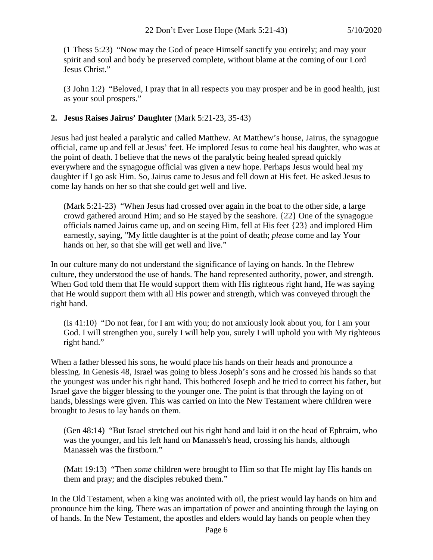(1 Thess 5:23) "Now may the God of peace Himself sanctify you entirely; and may your spirit and soul and body be preserved complete, without blame at the coming of our Lord Jesus Christ."

(3 John 1:2) "Beloved, I pray that in all respects you may prosper and be in good health, just as your soul prospers."

### **2. Jesus Raises Jairus' Daughter** (Mark 5:21-23, 35-43)

Jesus had just healed a paralytic and called Matthew. At Matthew's house, Jairus, the synagogue official, came up and fell at Jesus' feet. He implored Jesus to come heal his daughter, who was at the point of death. I believe that the news of the paralytic being healed spread quickly everywhere and the synagogue official was given a new hope. Perhaps Jesus would heal my daughter if I go ask Him. So, Jairus came to Jesus and fell down at His feet. He asked Jesus to come lay hands on her so that she could get well and live.

(Mark 5:21-23) "When Jesus had crossed over again in the boat to the other side, a large crowd gathered around Him; and so He stayed by the seashore. {22} One of the synagogue officials named Jairus came up, and on seeing Him, fell at His feet {23} and implored Him earnestly, saying, "My little daughter is at the point of death; *please* come and lay Your hands on her, so that she will get well and live."

In our culture many do not understand the significance of laying on hands. In the Hebrew culture, they understood the use of hands. The hand represented authority, power, and strength. When God told them that He would support them with His righteous right hand, He was saying that He would support them with all His power and strength, which was conveyed through the right hand.

(Is 41:10) "Do not fear, for I am with you; do not anxiously look about you, for I am your God. I will strengthen you, surely I will help you, surely I will uphold you with My righteous right hand."

When a father blessed his sons, he would place his hands on their heads and pronounce a blessing. In Genesis 48, Israel was going to bless Joseph's sons and he crossed his hands so that the youngest was under his right hand. This bothered Joseph and he tried to correct his father, but Israel gave the bigger blessing to the younger one. The point is that through the laying on of hands, blessings were given. This was carried on into the New Testament where children were brought to Jesus to lay hands on them.

(Gen 48:14) "But Israel stretched out his right hand and laid it on the head of Ephraim, who was the younger, and his left hand on Manasseh's head, crossing his hands, although Manasseh was the firstborn."

(Matt 19:13) "Then *some* children were brought to Him so that He might lay His hands on them and pray; and the disciples rebuked them."

In the Old Testament, when a king was anointed with oil, the priest would lay hands on him and pronounce him the king. There was an impartation of power and anointing through the laying on of hands. In the New Testament, the apostles and elders would lay hands on people when they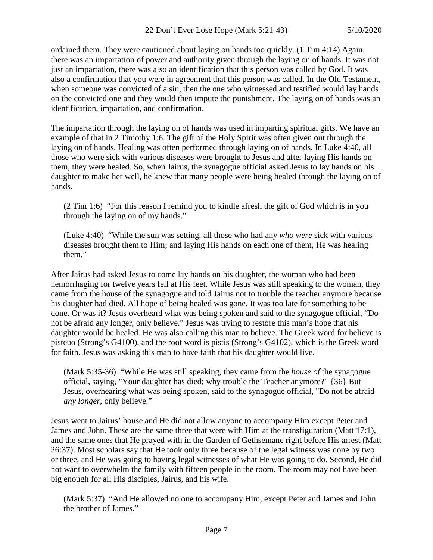ordained them. They were cautioned about laying on hands too quickly. (1 Tim 4:14) Again, there was an impartation of power and authority given through the laying on of hands. It was not just an impartation, there was also an identification that this person was called by God. It was also a confirmation that you were in agreement that this person was called. In the Old Testament, when someone was convicted of a sin, then the one who witnessed and testified would lay hands on the convicted one and they would then impute the punishment. The laying on of hands was an identification, impartation, and confirmation.

The impartation through the laying on of hands was used in imparting spiritual gifts. We have an example of that in 2 Timothy 1:6. The gift of the Holy Spirit was often given out through the laying on of hands. Healing was often performed through laying on of hands. In Luke 4:40, all those who were sick with various diseases were brought to Jesus and after laying His hands on them, they were healed. So, when Jairus, the synagogue official asked Jesus to lay hands on his daughter to make her well, he knew that many people were being healed through the laying on of hands.

(2 Tim 1:6) "For this reason I remind you to kindle afresh the gift of God which is in you through the laying on of my hands."

(Luke 4:40) "While the sun was setting, all those who had any *who were* sick with various diseases brought them to Him; and laying His hands on each one of them, He was healing them."

After Jairus had asked Jesus to come lay hands on his daughter, the woman who had been hemorrhaging for twelve years fell at His feet. While Jesus was still speaking to the woman, they came from the house of the synagogue and told Jairus not to trouble the teacher anymore because his daughter had died. All hope of being healed was gone. It was too late for something to be done. Or was it? Jesus overheard what was being spoken and said to the synagogue official, "Do not be afraid any longer, only believe." Jesus was trying to restore this man's hope that his daughter would be healed. He was also calling this man to believe. The Greek word for believe is pisteuo (Strong's G4100), and the root word is pistis (Strong's G4102), which is the Greek word for faith. Jesus was asking this man to have faith that his daughter would live.

(Mark 5:35-36) "While He was still speaking, they came from the *house of* the synagogue official, saying, "Your daughter has died; why trouble the Teacher anymore?" {36} But Jesus, overhearing what was being spoken, said to the synagogue official, "Do not be afraid *any longer,* only believe."

Jesus went to Jairus' house and He did not allow anyone to accompany Him except Peter and James and John. These are the same three that were with Him at the transfiguration (Matt 17:1), and the same ones that He prayed with in the Garden of Gethsemane right before His arrest (Matt 26:37). Most scholars say that He took only three because of the legal witness was done by two or three, and He was going to having legal witnesses of what He was going to do. Second, He did not want to overwhelm the family with fifteen people in the room. The room may not have been big enough for all His disciples, Jairus, and his wife.

(Mark 5:37) "And He allowed no one to accompany Him, except Peter and James and John the brother of James."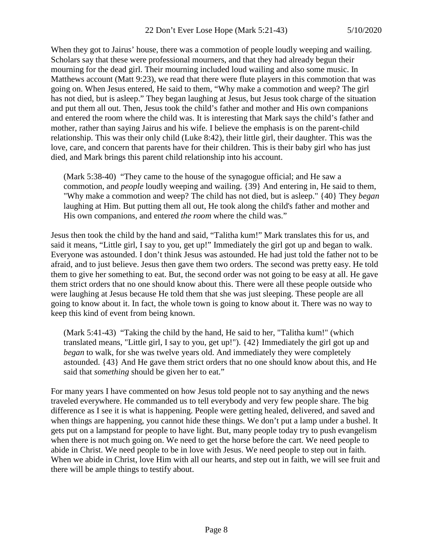When they got to Jairus' house, there was a commotion of people loudly weeping and wailing. Scholars say that these were professional mourners, and that they had already begun their mourning for the dead girl. Their mourning included loud wailing and also some music. In Matthews account (Matt 9:23), we read that there were flute players in this commotion that was going on. When Jesus entered, He said to them, "Why make a commotion and weep? The girl has not died, but is asleep." They began laughing at Jesus, but Jesus took charge of the situation and put them all out. Then, Jesus took the child's father and mother and His own companions and entered the room where the child was. It is interesting that Mark says the child's father and mother, rather than saying Jairus and his wife. I believe the emphasis is on the parent-child relationship. This was their only child (Luke 8:42), their little girl, their daughter. This was the love, care, and concern that parents have for their children. This is their baby girl who has just died, and Mark brings this parent child relationship into his account.

(Mark 5:38-40) "They came to the house of the synagogue official; and He saw a commotion, and *people* loudly weeping and wailing. {39} And entering in, He said to them, "Why make a commotion and weep? The child has not died, but is asleep." {40} They *began* laughing at Him. But putting them all out, He took along the child's father and mother and His own companions, and entered *the room* where the child was."

Jesus then took the child by the hand and said, "Talitha kum!" Mark translates this for us, and said it means, "Little girl, I say to you, get up!" Immediately the girl got up and began to walk. Everyone was astounded. I don't think Jesus was astounded. He had just told the father not to be afraid, and to just believe. Jesus then gave them two orders. The second was pretty easy. He told them to give her something to eat. But, the second order was not going to be easy at all. He gave them strict orders that no one should know about this. There were all these people outside who were laughing at Jesus because He told them that she was just sleeping. These people are all going to know about it. In fact, the whole town is going to know about it. There was no way to keep this kind of event from being known.

(Mark 5:41-43) "Taking the child by the hand, He said to her, "Talitha kum!" (which translated means, "Little girl, I say to you, get up!"). {42} Immediately the girl got up and *began* to walk, for she was twelve years old. And immediately they were completely astounded. {43} And He gave them strict orders that no one should know about this, and He said that *something* should be given her to eat."

For many years I have commented on how Jesus told people not to say anything and the news traveled everywhere. He commanded us to tell everybody and very few people share. The big difference as I see it is what is happening. People were getting healed, delivered, and saved and when things are happening, you cannot hide these things. We don't put a lamp under a bushel. It gets put on a lampstand for people to have light. But, many people today try to push evangelism when there is not much going on. We need to get the horse before the cart. We need people to abide in Christ. We need people to be in love with Jesus. We need people to step out in faith. When we abide in Christ, love Him with all our hearts, and step out in faith, we will see fruit and there will be ample things to testify about.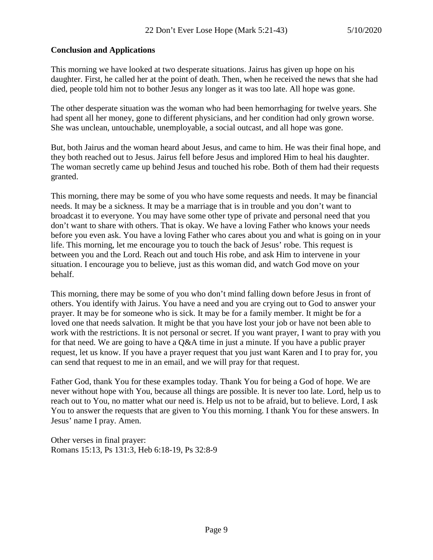## **Conclusion and Applications**

This morning we have looked at two desperate situations. Jairus has given up hope on his daughter. First, he called her at the point of death. Then, when he received the news that she had died, people told him not to bother Jesus any longer as it was too late. All hope was gone.

The other desperate situation was the woman who had been hemorrhaging for twelve years. She had spent all her money, gone to different physicians, and her condition had only grown worse. She was unclean, untouchable, unemployable, a social outcast, and all hope was gone.

But, both Jairus and the woman heard about Jesus, and came to him. He was their final hope, and they both reached out to Jesus. Jairus fell before Jesus and implored Him to heal his daughter. The woman secretly came up behind Jesus and touched his robe. Both of them had their requests granted.

This morning, there may be some of you who have some requests and needs. It may be financial needs. It may be a sickness. It may be a marriage that is in trouble and you don't want to broadcast it to everyone. You may have some other type of private and personal need that you don't want to share with others. That is okay. We have a loving Father who knows your needs before you even ask. You have a loving Father who cares about you and what is going on in your life. This morning, let me encourage you to touch the back of Jesus' robe. This request is between you and the Lord. Reach out and touch His robe, and ask Him to intervene in your situation. I encourage you to believe, just as this woman did, and watch God move on your behalf.

This morning, there may be some of you who don't mind falling down before Jesus in front of others. You identify with Jairus. You have a need and you are crying out to God to answer your prayer. It may be for someone who is sick. It may be for a family member. It might be for a loved one that needs salvation. It might be that you have lost your job or have not been able to work with the restrictions. It is not personal or secret. If you want prayer, I want to pray with you for that need. We are going to have a Q&A time in just a minute. If you have a public prayer request, let us know. If you have a prayer request that you just want Karen and I to pray for, you can send that request to me in an email, and we will pray for that request.

Father God, thank You for these examples today. Thank You for being a God of hope. We are never without hope with You, because all things are possible. It is never too late. Lord, help us to reach out to You, no matter what our need is. Help us not to be afraid, but to believe. Lord, I ask You to answer the requests that are given to You this morning. I thank You for these answers. In Jesus' name I pray. Amen.

Other verses in final prayer: Romans 15:13, Ps 131:3, Heb 6:18-19, Ps 32:8-9